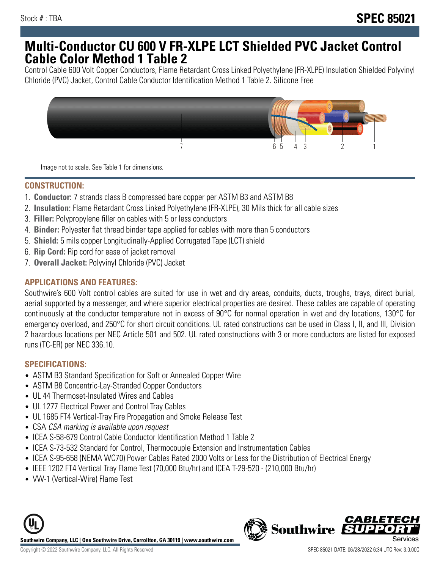# **Multi-Conductor CU 600 V FR-XLPE LCT Shielded PVC Jacket Control Cable Color Method 1 Table 2**

Control Cable 600 Volt Copper Conductors, Flame Retardant Cross Linked Polyethylene (FR-XLPE) Insulation Shielded Polyvinyl Chloride (PVC) Jacket, Control Cable Conductor Identification Method 1 Table 2. Silicone Free



Image not to scale. See Table 1 for dimensions.

### **CONSTRUCTION:**

- 1. **Conductor:** 7 strands class B compressed bare copper per ASTM B3 and ASTM B8
- 2. **Insulation:** Flame Retardant Cross Linked Polyethylene (FR-XLPE), 30 Mils thick for all cable sizes
- 3. **Filler:** Polypropylene filler on cables with 5 or less conductors
- 4. **Binder:** Polyester flat thread binder tape applied for cables with more than 5 conductors
- 5. **Shield:** 5 mils copper Longitudinally-Applied Corrugated Tape (LCT) shield
- 6. **Rip Cord:** Rip cord for ease of jacket removal
- 7. **Overall Jacket:** Polyvinyl Chloride (PVC) Jacket

### **APPLICATIONS AND FEATURES:**

Southwire's 600 Volt control cables are suited for use in wet and dry areas, conduits, ducts, troughs, trays, direct burial, aerial supported by a messenger, and where superior electrical properties are desired. These cables are capable of operating continuously at the conductor temperature not in excess of 90°C for normal operation in wet and dry locations, 130°C for emergency overload, and 250°C for short circuit conditions. UL rated constructions can be used in Class I, II, and III, Division 2 hazardous locations per NEC Article 501 and 502. UL rated constructions with 3 or more conductors are listed for exposed runs (TC-ER) per NEC 336.10.

### **SPECIFICATIONS:**

- ASTM B3 Standard Specification for Soft or Annealed Copper Wire
- ASTM B8 Concentric-Lay-Stranded Copper Conductors
- UL 44 Thermoset-Insulated Wires and Cables
- UL 1277 Electrical Power and Control Tray Cables
- UL 1685 FT4 Vertical-Tray Fire Propagation and Smoke Release Test
- CSA CSA marking is available upon request
- ICEA S-58-679 Control Cable Conductor Identification Method 1 Table 2
- ICEA S-73-532 Standard for Control, Thermocouple Extension and Instrumentation Cables
- ICEA S-95-658 (NEMA WC70) Power Cables Rated 2000 Volts or Less for the Distribution of Electrical Energy
- IEEE 1202 FT4 Vertical Tray Flame Test (70,000 Btu/hr) and ICEA T-29-520 (210,000 Btu/hr)
- VW-1 (Vertical-Wire) Flame Test



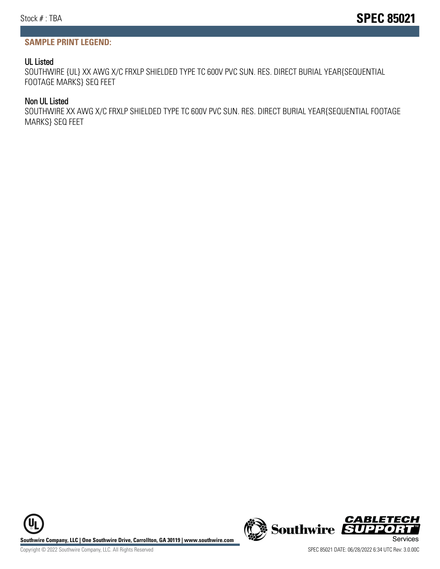### **SAMPLE PRINT LEGEND:**

#### UL Listed

SOUTHWIRE {UL} XX AWG X/C FRXLP SHIELDED TYPE TC 600V PVC SUN. RES. DIRECT BURIAL YEAR{SEQUENTIAL FOOTAGE MARKS} SEQ FEET

#### Non UL Listed

SOUTHWIRE XX AWG X/C FRXLP SHIELDED TYPE TC 600V PVC SUN. RES. DIRECT BURIAL YEAR{SEQUENTIAL FOOTAGE MARKS} SEQ FEET

**Southwire Company, LLC | One Southwire Drive, Carrollton, GA 30119 | www.southwire.com (New Southwire SUPPORTINGLY)**